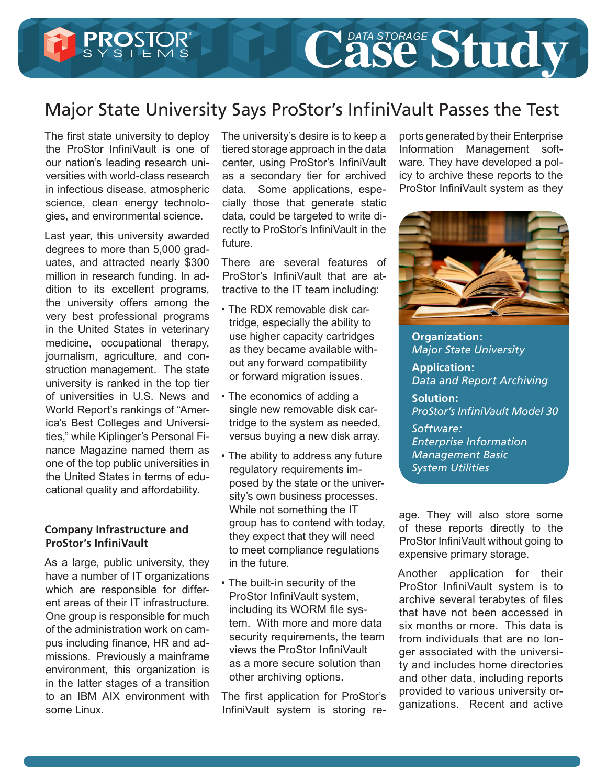## Major State University Says ProStor's InfiniVault Passes the Test

The first state university to deploy the ProStor InfiniVault is one of our nation's leading research universities with world-class research in infectious disease, atmospheric science, clean energy technologies, and environmental science.

Last year, this university awarded degrees to more than 5,000 graduates, and attracted nearly \$300 million in research funding. In addition to its excellent programs, the university offers among the very best professional programs in the United States in veterinary medicine, occupational therapy, journalism, agriculture, and construction management. The state university is ranked in the top tier of universities in U.S. News and World Report's rankings of "America's Best Colleges and Universities," while Kiplinger's Personal Finance Magazine named them as one of the top public universities in the United States in terms of educational quality and affordability.

## **Company Infrastructure and ProStor's InfiniVault**

As a large, public university, they have a number of IT organizations which are responsible for different areas of their IT infrastructure. One group is responsible for much of the administration work on campus including finance, HR and admissions. Previously a mainframe environment, this organization is in the latter stages of a transition to an IBM AIX environment with some Linux.

The university's desire is to keep a tiered storage approach in the data center, using ProStor's InfiniVault as a secondary tier for archived data. Some applications, especially those that generate static data, could be targeted to write directly to ProStor's InfiniVault in the future.

There are several features of ProStor's InfiniVault that are attractive to the IT team including:

- The RDX removable disk cartridge, especially the ability to use higher capacity cartridges as they became available without any forward compatibility or forward migration issues.
- The economics of adding a single new removable disk cartridge to the system as needed, versus buying a new disk array.
- The ability to address any future regulatory requirements imposed by the state or the university's own business processes. While not something the IT group has to contend with today, they expect that they will need to meet compliance regulations in the future.
- The built-in security of the ProStor InfiniVault system, including its WORM file system. With more and more data security requirements, the team views the ProStor InfiniVault as a more secure solution than other archiving options.

The first application for ProStor's InfiniVault system is storing reports generated by their Enterprise Information Management software. They have developed a policy to archive these reports to the ProStor InfiniVault system as they

Case Study



**Organization:**  *Major State University* **Application:** 

*Data and Report Archiving*

**Solution:** *ProStor's InfiniVault Model 30*

*Software: Enterprise Information Management Basic System Utilities*

age. They will also store some of these reports directly to the ProStor InfiniVault without going to expensive primary storage.

Another application for their ProStor InfiniVault system is to archive several terabytes of files that have not been accessed in six months or more. This data is from individuals that are no longer associated with the university and includes home directories and other data, including reports provided to various university organizations. Recent and active